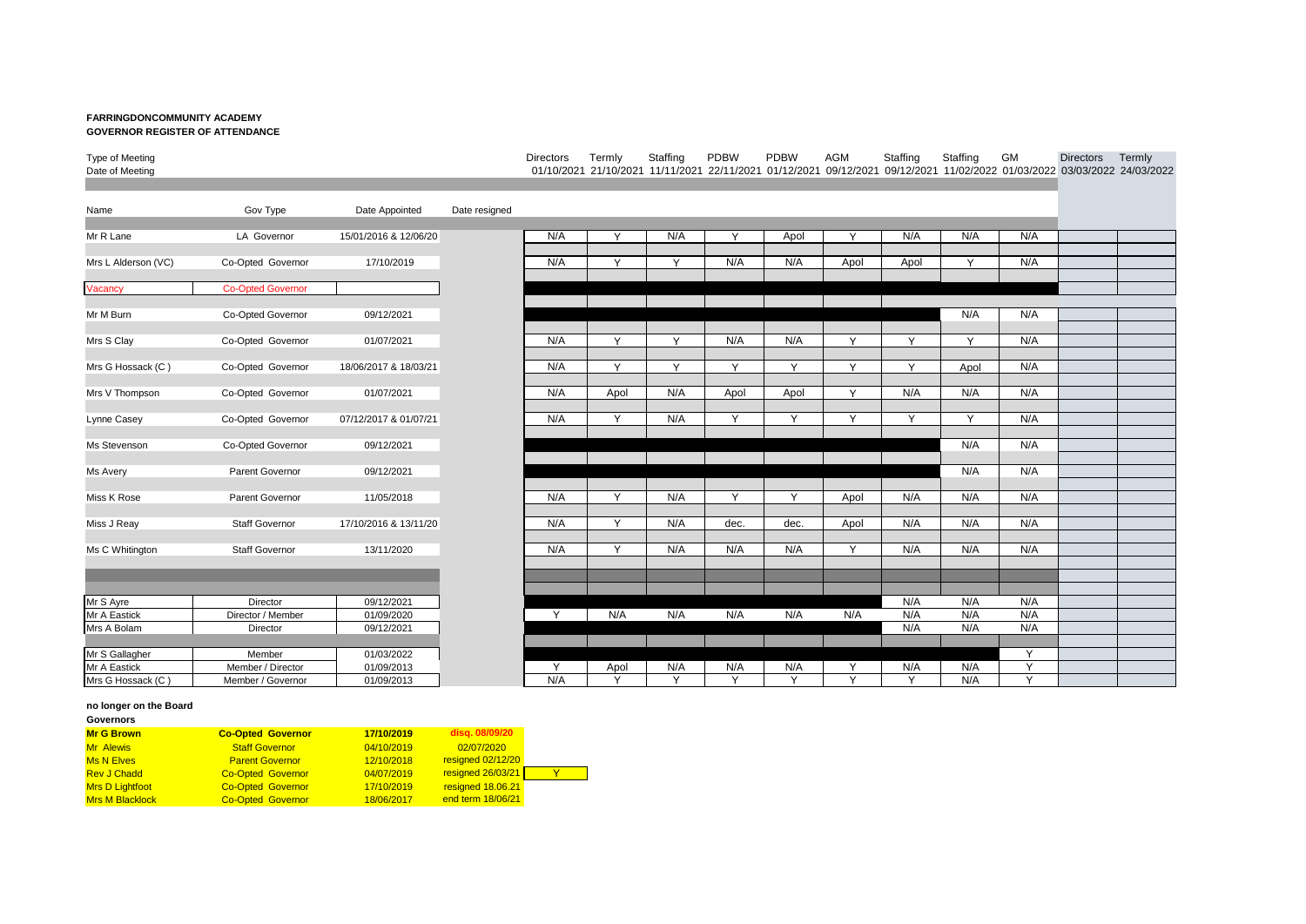## **FARRINGDONCOMMUNITY ACADEMY GOVERNOR REGISTER OF ATTENDANCE**

## Type of Meeting Directors Termly Staffing PDBW PDBW AGM Staffing Staffing GM Directors Termly Date of Meeting 01/10/2021 21/10/2021 11/11/2021 22/11/2021 01/12/2021 09/12/2021 09/12/2021 11/02/2022 01/03/2022 03/03/2022 24/03/2022

| Name                | Gov Type                 | Date Appointed        | Date resigned |
|---------------------|--------------------------|-----------------------|---------------|
| Mr R Lane           | LA Governor              | 15/01/2016 & 12/06/20 |               |
|                     |                          |                       |               |
| Mrs L Alderson (VC) | Co-Opted Governor        | 17/10/2019            |               |
| Vacancy             | <b>Co-Opted Governor</b> |                       |               |
| Mr M Burn           | Co-Opted Governor        | 09/12/2021            |               |
| Mrs S Clay          | Co-Opted Governor        | 01/07/2021            |               |
| Mrs G Hossack (C)   | Co-Opted Governor        | 18/06/2017 & 18/03/21 |               |
| Mrs V Thompson      | Co-Opted Governor        | 01/07/2021            |               |
| Lynne Casey         | Co-Opted Governor        | 07/12/2017 & 01/07/21 |               |
| Ms Stevenson        | Co-Opted Governor        | 09/12/2021            |               |
| Ms Avery            | <b>Parent Governor</b>   | 09/12/2021            |               |
| Miss K Rose         | <b>Parent Governor</b>   | 11/05/2018            |               |
| Miss J Reay         | <b>Staff Governor</b>    | 17/10/2016 & 13/11/20 |               |
| Ms C Whitington     | <b>Staff Governor</b>    | 13/11/2020            |               |
|                     |                          |                       |               |
| Mr S Ayre           | Director                 | 09/12/2021            |               |
| Mr A Eastick        | Director / Member        | 01/09/2020            |               |
| Mrs A Bolam         | Director                 | 09/12/2021            |               |
|                     |                          |                       |               |
| Mr S Gallagher      | Member                   | 01/03/2022            |               |
| Mr A Eastick        | Member / Director        | 01/09/2013            |               |
| Mrs G Hossack (C)   | Member / Governor        | 01/09/2013            |               |

| Name                | Gov Type                 | Date Appointed        | Date resigned |     |              |        |              |              |              |              |              |              |  |
|---------------------|--------------------------|-----------------------|---------------|-----|--------------|--------|--------------|--------------|--------------|--------------|--------------|--------------|--|
|                     |                          |                       |               |     |              |        |              |              |              |              |              |              |  |
| Mr R Lane           | LA Governor              | 15/01/2016 & 12/06/20 |               | N/A | Y            | N/A    | Y            | Apol         | Y            | N/A          | N/A          | N/A          |  |
|                     |                          |                       |               |     |              |        |              |              |              |              |              |              |  |
| Mrs L Alderson (VC) | Co-Opted Governor        | 17/10/2019            |               | N/A | Y            | Y      | N/A          | N/A          | Apol         | Apol         | Y            | N/A          |  |
|                     |                          |                       |               |     |              |        |              |              |              |              |              |              |  |
| Vacancy             | <b>Co-Opted Governor</b> |                       |               |     |              |        |              |              |              |              |              |              |  |
|                     |                          |                       |               |     |              |        |              |              |              |              |              |              |  |
| Mr M Burn           | Co-Opted Governor        | 09/12/2021            |               |     |              |        |              |              |              |              | N/A          | N/A          |  |
|                     |                          |                       |               |     |              |        |              |              |              |              |              |              |  |
| Mrs S Clay          | Co-Opted Governor        | 01/07/2021            |               | N/A | Y            | Y      | N/A          | N/A          | Y            | $\mathsf{Y}$ | $\vee$       | N/A          |  |
|                     |                          |                       |               |     |              |        |              |              |              |              |              |              |  |
| Mrs G Hossack (C)   | Co-Opted Governor        | 18/06/2017 & 18/03/21 |               | N/A | Y            | Y      | Y            | $\mathsf{Y}$ | $\mathsf{Y}$ | Y            | Apol         | N/A          |  |
|                     |                          |                       |               |     |              |        |              |              |              |              |              |              |  |
| Mrs V Thompson      | Co-Opted Governor        | 01/07/2021            |               | N/A | Apol         | N/A    | Apol         | Apol         | Y            | N/A          | N/A          | N/A          |  |
|                     |                          |                       |               |     |              |        |              |              |              |              |              |              |  |
| Lynne Casey         | Co-Opted Governor        | 07/12/2017 & 01/07/21 |               | N/A | Y            | N/A    | Y            | Y            | Y            | Y            | $\mathsf{Y}$ | N/A          |  |
|                     |                          |                       |               |     |              |        |              |              |              |              |              |              |  |
| Ms Stevenson        | Co-Opted Governor        | 09/12/2021            |               |     |              |        |              |              |              |              | N/A          | N/A          |  |
|                     |                          |                       |               |     |              |        |              |              |              |              |              |              |  |
| Ms Avery            | Parent Governor          | 09/12/2021            |               |     |              |        |              |              |              |              | N/A          | N/A          |  |
|                     |                          |                       |               |     |              |        |              |              |              |              |              |              |  |
| Miss K Rose         | Parent Governor          | 11/05/2018            |               | N/A | Y            | N/A    | Y            | Y            | Apol         | N/A          | N/A          | N/A          |  |
|                     |                          |                       |               |     |              |        |              |              |              |              |              |              |  |
| Miss J Reay         | Staff Governor           | 17/10/2016 & 13/11/20 |               | N/A | Y            | N/A    | dec.         | dec.         | Apol         | N/A          | N/A          | N/A          |  |
|                     |                          |                       |               |     |              |        |              |              |              |              |              |              |  |
| Ms C Whitington     | <b>Staff Governor</b>    | 13/11/2020            |               | N/A | Y            | N/A    | N/A          | N/A          | Y            | N/A          | N/A          | N/A          |  |
|                     |                          |                       |               |     |              |        |              |              |              |              |              |              |  |
|                     |                          |                       |               |     |              |        |              |              |              |              |              |              |  |
|                     |                          |                       |               |     |              |        |              |              |              |              |              |              |  |
| Mr S Ayre           | Director                 | 09/12/2021            |               |     |              |        |              |              |              | N/A          | N/A          | N/A          |  |
| Mr A Eastick        | Director / Member        | 01/09/2020            |               | Y   | N/A          | N/A    | N/A          | N/A          | N/A          | N/A          | N/A          | N/A          |  |
| Mrs A Bolam         | Director                 | 09/12/2021            |               |     |              |        |              |              |              | N/A          | N/A          | N/A          |  |
|                     |                          |                       |               |     |              |        |              |              |              |              |              |              |  |
| Mr S Gallagher      | Member                   | 01/03/2022            |               |     |              |        |              |              |              |              |              | $\vee$       |  |
| Mr A Eastick        | Member / Director        | 01/09/2013            |               | Y   | Apol         | N/A    | N/A          | N/A          | Y            | N/A          | N/A          | $\mathsf{v}$ |  |
| Mrs G Hossack (C)   | Member / Governor        | 01/09/2013            |               | N/A | $\checkmark$ | $\vee$ | $\checkmark$ | $\checkmark$ | $\checkmark$ | $\checkmark$ | N/A          | Y            |  |

## **no longer on the Board**

| Governors              |                          |            |                   |
|------------------------|--------------------------|------------|-------------------|
| <b>Mr G Brown</b>      | <b>Co-Opted Governor</b> | 17/10/2019 | disq. 08/09/20    |
| <b>Mr</b> Alewis       | <b>Staff Governor</b>    | 04/10/2019 | 02/07/2020        |
| <b>Ms N Elves</b>      | <b>Parent Governor</b>   | 12/10/2018 | resigned 02/12/20 |
| <b>Rev J Chadd</b>     | <b>Co-Opted Governor</b> | 04/07/2019 | resigned 26/03/21 |
| <b>Mrs D Lightfoot</b> | <b>Co-Opted Governor</b> | 17/10/2019 | resigned 18.06.21 |
| <b>Mrs M Blacklock</b> | <b>Co-Opted Governor</b> | 18/06/2017 | end term 18/06/21 |